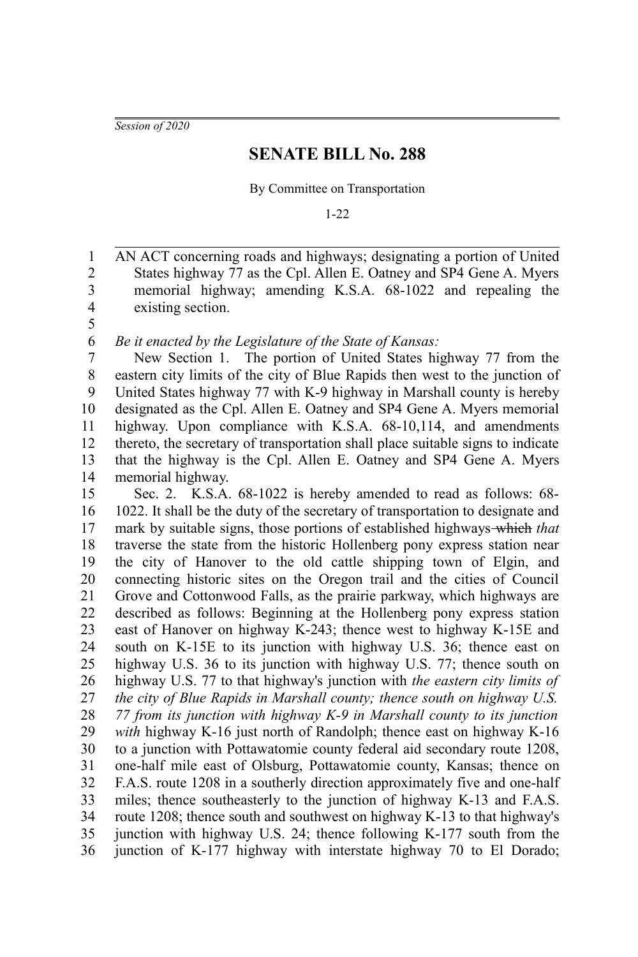*Session of 2020*

## **SENATE BILL No. 288**

By Committee on Transportation

1-22

AN ACT concerning roads and highways; designating a portion of United States highway 77 as the Cpl. Allen E. Oatney and SP4 Gene A. Myers memorial highway; amending K.S.A. 68-1022 and repealing the existing section. 1 2 3 4

5 6

*Be it enacted by the Legislature of the State of Kansas:*

New Section 1. The portion of United States highway 77 from the eastern city limits of the city of Blue Rapids then west to the junction of United States highway 77 with K-9 highway in Marshall county is hereby designated as the Cpl. Allen E. Oatney and SP4 Gene A. Myers memorial highway. Upon compliance with K.S.A. 68-10,114, and amendments thereto, the secretary of transportation shall place suitable signs to indicate that the highway is the Cpl. Allen E. Oatney and SP4 Gene A. Myers memorial highway. 7 8 9 10 11 12 13 14

Sec. 2. K.S.A. 68-1022 is hereby amended to read as follows: 68- 1022. It shall be the duty of the secretary of transportation to designate and mark by suitable signs, those portions of established highways which *that* traverse the state from the historic Hollenberg pony express station near the city of Hanover to the old cattle shipping town of Elgin, and connecting historic sites on the Oregon trail and the cities of Council Grove and Cottonwood Falls, as the prairie parkway, which highways are described as follows: Beginning at the Hollenberg pony express station east of Hanover on highway K-243; thence west to highway K-15E and south on K-15E to its junction with highway U.S. 36; thence east on highway U.S. 36 to its junction with highway U.S. 77; thence south on highway U.S. 77 to that highway's junction with *the eastern city limits of the city of Blue Rapids in Marshall county; thence south on highway U.S. 77 from its junction with highway K-9 in Marshall county to its junction with* highway K-16 just north of Randolph; thence east on highway K-16 to a junction with Pottawatomie county federal aid secondary route 1208, one-half mile east of Olsburg, Pottawatomie county, Kansas; thence on F.A.S. route 1208 in a southerly direction approximately five and one-half miles; thence southeasterly to the junction of highway K-13 and F.A.S. route 1208; thence south and southwest on highway K-13 to that highway's junction with highway U.S. 24; thence following K-177 south from the junction of K-177 highway with interstate highway 70 to El Dorado; 15 16 17 18 19 20 21 22 23 24 25 26 27 28 29 30 31 32 33 34 35 36